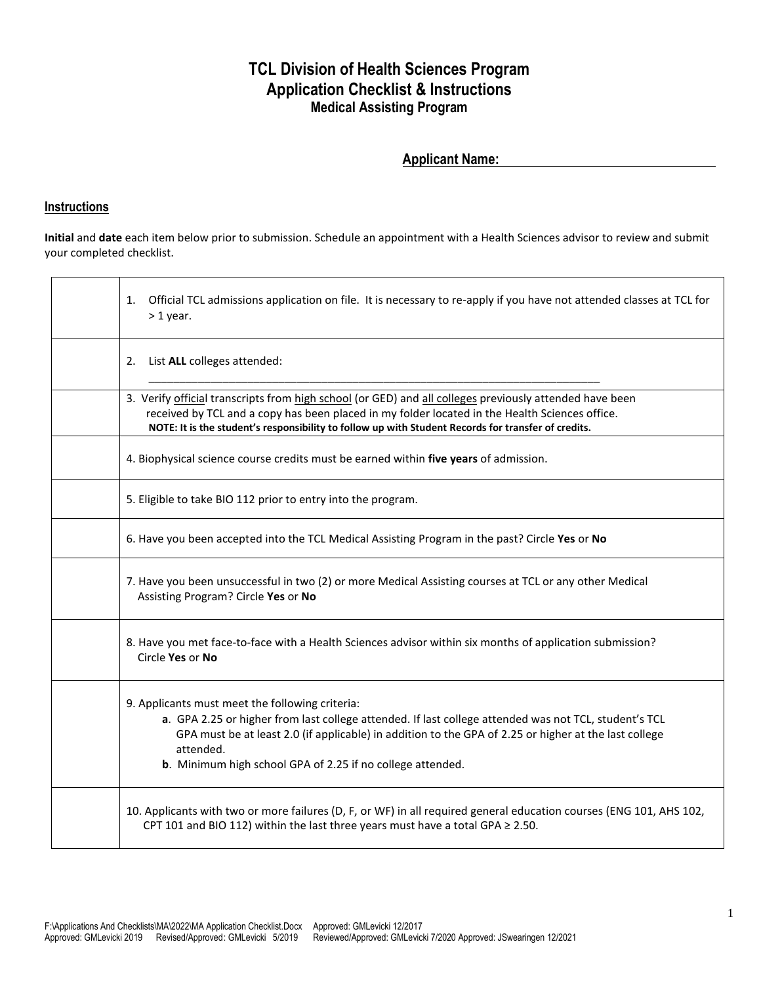## **TCL Division of Health Sciences Program Application Checklist & Instructions Medical Assisting Program**

## **Applicant Name:**

## **Instructions**

**Initial** and **date** each item below prior to submission. Schedule an appointment with a Health Sciences advisor to review and submit your completed checklist.

| Official TCL admissions application on file. It is necessary to re-apply if you have not attended classes at TCL for<br>1.<br>$>1$ year.                                                                                                                                                                                                     |
|----------------------------------------------------------------------------------------------------------------------------------------------------------------------------------------------------------------------------------------------------------------------------------------------------------------------------------------------|
| List ALL colleges attended:<br>2.                                                                                                                                                                                                                                                                                                            |
| 3. Verify official transcripts from high school (or GED) and all colleges previously attended have been<br>received by TCL and a copy has been placed in my folder located in the Health Sciences office.<br>NOTE: It is the student's responsibility to follow up with Student Records for transfer of credits.                             |
| 4. Biophysical science course credits must be earned within five years of admission.                                                                                                                                                                                                                                                         |
| 5. Eligible to take BIO 112 prior to entry into the program.                                                                                                                                                                                                                                                                                 |
| 6. Have you been accepted into the TCL Medical Assisting Program in the past? Circle Yes or No                                                                                                                                                                                                                                               |
| 7. Have you been unsuccessful in two (2) or more Medical Assisting courses at TCL or any other Medical<br>Assisting Program? Circle Yes or No                                                                                                                                                                                                |
| 8. Have you met face-to-face with a Health Sciences advisor within six months of application submission?<br>Circle Yes or No                                                                                                                                                                                                                 |
| 9. Applicants must meet the following criteria:<br>a. GPA 2.25 or higher from last college attended. If last college attended was not TCL, student's TCL<br>GPA must be at least 2.0 (if applicable) in addition to the GPA of 2.25 or higher at the last college<br>attended.<br>b. Minimum high school GPA of 2.25 if no college attended. |
| 10. Applicants with two or more failures (D, F, or WF) in all required general education courses (ENG 101, AHS 102,<br>CPT 101 and BIO 112) within the last three years must have a total GPA $\geq$ 2.50.                                                                                                                                   |